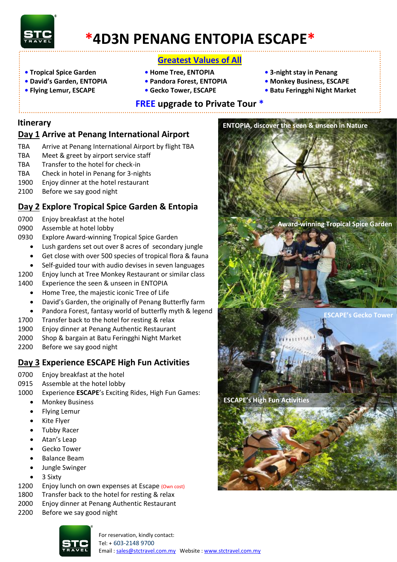

# **\*4D3N PENANG ENTOPIA ESCAPE\***

### **Greatest Values of All**

- **• Tropical Spice Garden Home Tree, ENTOPIA 3-night stay in Penang**
- **David's Garden, ENTOPIA Pandora Forest, ENTOPIA • Monkey Business, ESCAPE**
- -
- 

**ENTOPIA, discover the seen & unseen in Nature**

- 
- **Flying Lemur, ESCAPE Gecko Tower, ESCAPE Batu Feringghi Night Market**
	-

## **FREE upgrade to Private Tour \***

### **Itinerary**

## **Day 1 Arrive at Penang International Airport**

- TBA Arrive at Penang International Airport by flight TBA
- TBA Meet & greet by airport service staff
- TBA Transfer to the hotel for check-in
- TBA Check in hotel in Penang for 3-nights
- 1900 Enjoy dinner at the hotel restaurant
- 2100 Before we say good night

## **Day 2 Explore Tropical Spice Garden & Entopia**

- 0700 Enjoy breakfast at the hotel
- 0900 Assemble at hotel lobby
- 0930 Explore Award-winning Tropical Spice Garden
	- Lush gardens set out over 8 acres of secondary jungle
	- Get close with over 500 species of tropical flora & fauna
	- Self-guided tour with audio devises in seven languages
- 1200 Enjoy lunch at Tree Monkey Restaurant or similar class
- 1400 Experience the seen & unseen in ENTOPIA
	- Home Tree, the majestic iconic Tree of Life
	- David's Garden, the originally of Penang Butterfly farm
	- Pandora Forest, fantasy world of butterfly myth & legend
- 1700 Transfer back to the hotel for resting & relax
- 1900 Enjoy dinner at Penang Authentic Restaurant
- 2000 Shop & bargain at Batu Feringghi Night Market
- 2200 Before we say good night

### **Day 3 Experience ESCAPE High Fun Activities**

- 0700 Enjoy breakfast at the hotel
- 0915 Assemble at the hotel lobby
- 1000 Experience **ESCAPE**'s Exciting Rides, High Fun Games:
	- **•** Monkey Business
	- Flying Lemur
	- Kite Flyer
	- Tubby Racer
	- Atan's Leap
	- Gecko Tower
	- Balance Beam
	- Jungle Swinger
	- 3 Sixty
- 1200 Enjoy lunch on own expenses at Escape (Own cost)
- 1800 Transfer back to the hotel for resting & relax
- 2000 Enjoy dinner at Penang Authentic Restaurant
- 2200 Before we say good night





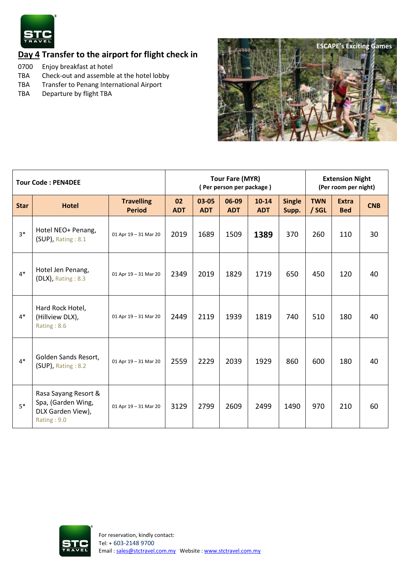

# **Day 4 Transfer to the airport for flight check in**

- 0700 Enjoy breakfast at hotel
- TBA Check-out and assemble at the hotel lobby<br>TBA Transfer to Penang International Airport
- Transfer to Penang International Airport
- TBA Departure by flight TBA



| <b>Tour Code: PEN4DEE</b> |                                                                                |                                    | <b>Tour Fare (MYR)</b><br>(Per person per package) |                     |                     |                         |                        | <b>Extension Night</b><br>(Per room per night) |                            |            |
|---------------------------|--------------------------------------------------------------------------------|------------------------------------|----------------------------------------------------|---------------------|---------------------|-------------------------|------------------------|------------------------------------------------|----------------------------|------------|
| <b>Star</b>               | <b>Hotel</b>                                                                   | <b>Travelling</b><br><b>Period</b> | 02<br><b>ADT</b>                                   | 03-05<br><b>ADT</b> | 06-09<br><b>ADT</b> | $10 - 14$<br><b>ADT</b> | <b>Single</b><br>Supp. | <b>TWN</b><br>/ SGL                            | <b>Extra</b><br><b>Bed</b> | <b>CNB</b> |
| $3*$                      | Hotel NEO+ Penang,<br>$(SUP)$ , Rating : 8.1                                   | 01 Apr 19 - 31 Mar 20              | 2019                                               | 1689                | 1509                | 1389                    | 370                    | 260                                            | 110                        | 30         |
| $4*$                      | Hotel Jen Penang,<br>$(DLX)$ , Rating : 8.3                                    | 01 Apr 19 - 31 Mar 20              | 2349                                               | 2019                | 1829                | 1719                    | 650                    | 450                                            | 120                        | 40         |
| $4*$                      | Hard Rock Hotel,<br>(Hillview DLX),<br>Rating: 8.6                             | 01 Apr 19 - 31 Mar 20              | 2449                                               | 2119                | 1939                | 1819                    | 740                    | 510                                            | 180                        | 40         |
| $4*$                      | Golden Sands Resort,<br>(SUP), Rating: 8.2                                     | 01 Apr 19 - 31 Mar 20              | 2559                                               | 2229                | 2039                | 1929                    | 860                    | 600                                            | 180                        | 40         |
| $5*$                      | Rasa Sayang Resort &<br>Spa, (Garden Wing,<br>DLX Garden View),<br>Rating: 9.0 | 01 Apr 19 - 31 Mar 20              | 3129                                               | 2799                | 2609                | 2499                    | 1490                   | 970                                            | 210                        | 60         |